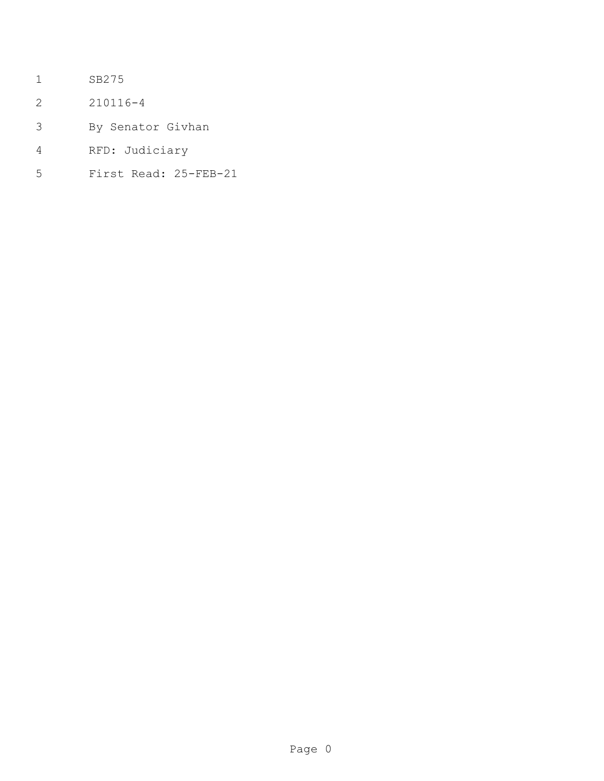- SB275
- 210116-4
- By Senator Givhan
- RFD: Judiciary
- First Read: 25-FEB-21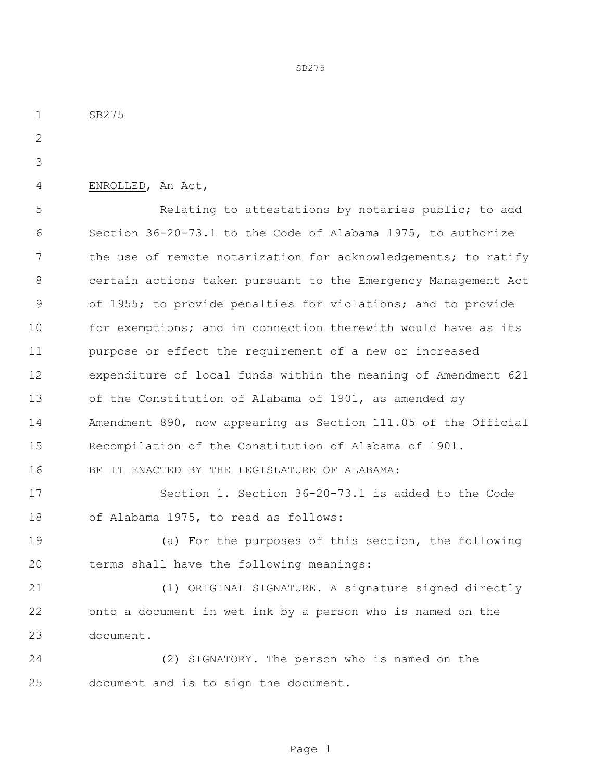SB275 ENROLLED, An Act, Relating to attestations by notaries public; to add Section 36-20-73.1 to the Code of Alabama 1975, to authorize 7 the use of remote notarization for acknowledgements; to ratify certain actions taken pursuant to the Emergency Management Act of 1955; to provide penalties for violations; and to provide 10 for exemptions; and in connection therewith would have as its purpose or effect the requirement of a new or increased expenditure of local funds within the meaning of Amendment 621 of the Constitution of Alabama of 1901, as amended by Amendment 890, now appearing as Section 111.05 of the Official Recompilation of the Constitution of Alabama of 1901. BE IT ENACTED BY THE LEGISLATURE OF ALABAMA: Section 1. Section 36-20-73.1 is added to the Code of Alabama 1975, to read as follows: (a) For the purposes of this section, the following terms shall have the following meanings: (1) ORIGINAL SIGNATURE. A signature signed directly onto a document in wet ink by a person who is named on the document. (2) SIGNATORY. The person who is named on the document and is to sign the document.

SB275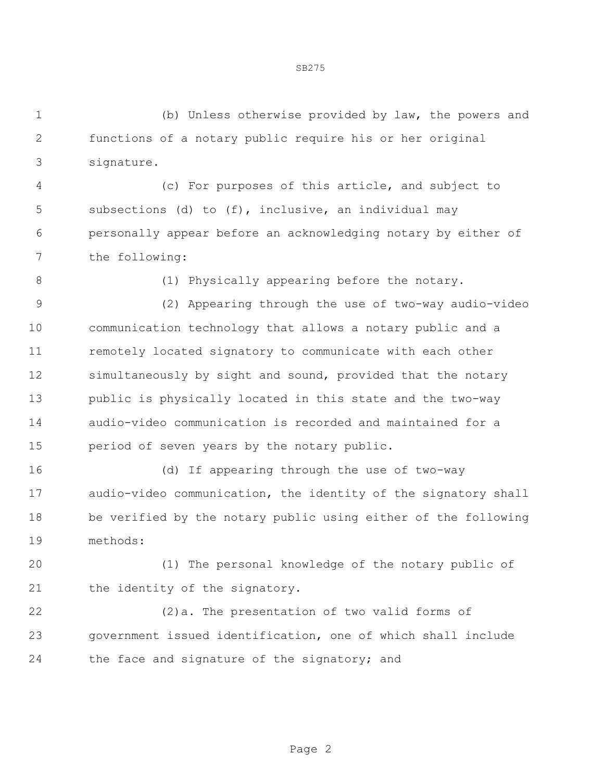(b) Unless otherwise provided by law, the powers and functions of a notary public require his or her original signature.

SB275

 (c) For purposes of this article, and subject to subsections (d) to (f), inclusive, an individual may personally appear before an acknowledging notary by either of the following:

8 (1) Physically appearing before the notary.

 (2) Appearing through the use of two-way audio-video communication technology that allows a notary public and a remotely located signatory to communicate with each other simultaneously by sight and sound, provided that the notary public is physically located in this state and the two-way audio-video communication is recorded and maintained for a period of seven years by the notary public.

 (d) If appearing through the use of two-way audio-video communication, the identity of the signatory shall be verified by the notary public using either of the following methods:

 (1) The personal knowledge of the notary public of 21 the identity of the signatory.

 (2)a. The presentation of two valid forms of government issued identification, one of which shall include the face and signature of the signatory; and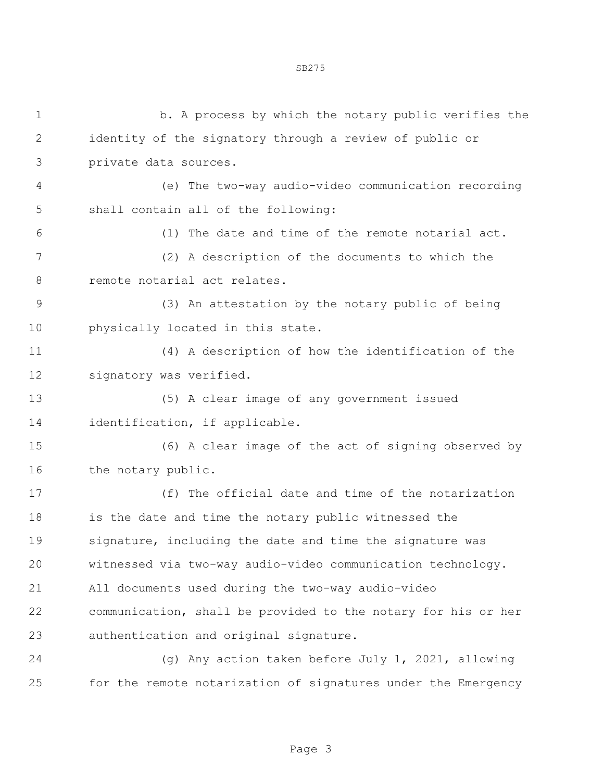| $\mathbf 1$      | b. A process by which the notary public verifies the          |
|------------------|---------------------------------------------------------------|
| $\overline{2}$   | identity of the signatory through a review of public or       |
| 3                | private data sources.                                         |
| 4                | (e) The two-way audio-video communication recording           |
| 5                | shall contain all of the following:                           |
| 6                | (1) The date and time of the remote notarial act.             |
| $\boldsymbol{7}$ | (2) A description of the documents to which the               |
| 8                | remote notarial act relates.                                  |
| $\mathcal{G}$    | (3) An attestation by the notary public of being              |
| 10               | physically located in this state.                             |
| 11               | (4) A description of how the identification of the            |
| 12               | signatory was verified.                                       |
| 13               | (5) A clear image of any government issued                    |
| 14               | identification, if applicable.                                |
| 15               | (6) A clear image of the act of signing observed by           |
| 16               | the notary public.                                            |
| 17               | (f) The official date and time of the notarization            |
| 18               | is the date and time the notary public witnessed the          |
| 19               | signature, including the date and time the signature was      |
| 20               | witnessed via two-way audio-video communication technology.   |
| 21               | All documents used during the two-way audio-video             |
| 22               | communication, shall be provided to the notary for his or her |
| 23               | authentication and original signature.                        |
| 24               | (q) Any action taken before July 1, 2021, allowing            |
| 25               | for the remote notarization of signatures under the Emergency |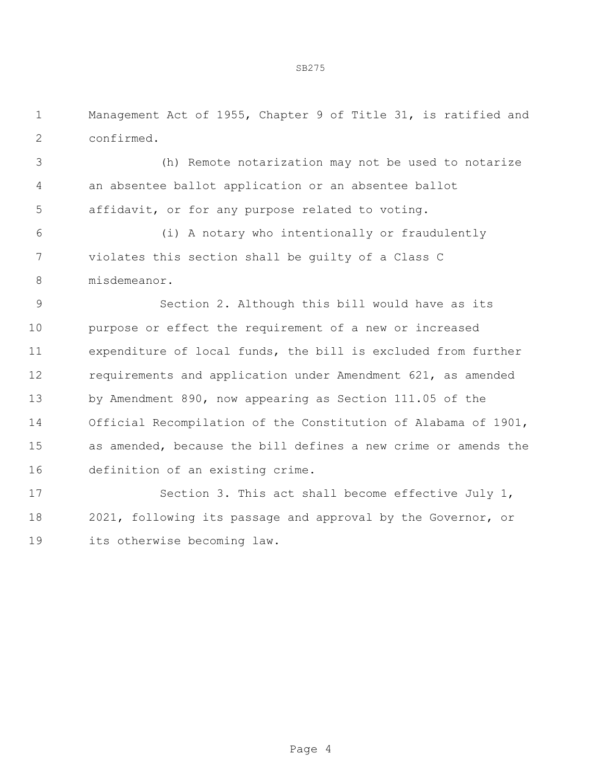SB275

 Management Act of 1955, Chapter 9 of Title 31, is ratified and confirmed.

 (h) Remote notarization may not be used to notarize an absentee ballot application or an absentee ballot affidavit, or for any purpose related to voting.

 (i) A notary who intentionally or fraudulently violates this section shall be guilty of a Class C misdemeanor.

 Section 2. Although this bill would have as its purpose or effect the requirement of a new or increased expenditure of local funds, the bill is excluded from further requirements and application under Amendment 621, as amended by Amendment 890, now appearing as Section 111.05 of the Official Recompilation of the Constitution of Alabama of 1901, as amended, because the bill defines a new crime or amends the definition of an existing crime.

 Section 3. This act shall become effective July 1, 2021, following its passage and approval by the Governor, or its otherwise becoming law.